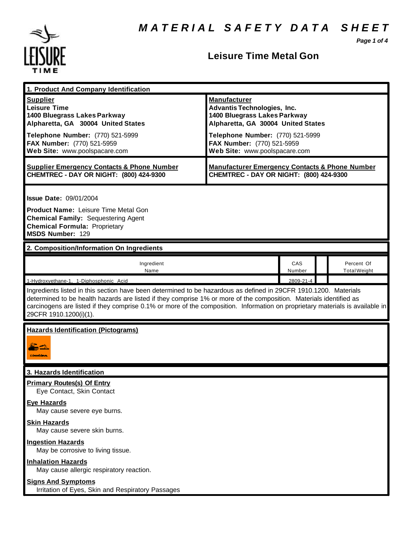*Page 1 of 4*



## **Leisure Time Metal Gon**

| 1. Product And Company Identification                                                                                                                                                                                                                                                                                                                                                             |                                                                                                                                                                     |               |  |                                   |  |
|---------------------------------------------------------------------------------------------------------------------------------------------------------------------------------------------------------------------------------------------------------------------------------------------------------------------------------------------------------------------------------------------------|---------------------------------------------------------------------------------------------------------------------------------------------------------------------|---------------|--|-----------------------------------|--|
| <b>Supplier</b><br><b>Leisure Time</b><br>1400 Bluegrass Lakes Parkway<br>Alpharetta, GA 30004 United States<br>Telephone Number: (770) 521-5999                                                                                                                                                                                                                                                  | <b>Manufacturer</b><br><b>Advantis Technologies, Inc.</b><br>1400 Bluegrass Lakes Parkway<br>Alpharetta, GA 30004 United States<br>Telephone Number: (770) 521-5999 |               |  |                                   |  |
| FAX Number: (770) 521-5959<br>Web Site: www.poolspacare.com                                                                                                                                                                                                                                                                                                                                       | FAX Number: (770) 521-5959<br>Web Site: www.poolspacare.com                                                                                                         |               |  |                                   |  |
| <b>Supplier Emergency Contacts &amp; Phone Number</b><br>CHEMTREC - DAY OR NIGHT: (800) 424-9300                                                                                                                                                                                                                                                                                                  | <b>Manufacturer Emergency Contacts &amp; Phone Number</b><br>CHEMTREC - DAY OR NIGHT: (800) 424-9300                                                                |               |  |                                   |  |
| <b>Issue Date: 09/01/2004</b><br><b>Product Name: Leisure Time Metal Gon</b><br><b>Chemical Family: Sequestering Agent</b><br><b>Chemical Formula: Proprietary</b><br><b>MSDS Number: 129</b>                                                                                                                                                                                                     |                                                                                                                                                                     |               |  |                                   |  |
| 2. Composition/Information On Ingredients                                                                                                                                                                                                                                                                                                                                                         |                                                                                                                                                                     |               |  |                                   |  |
| Ingredient<br>Name                                                                                                                                                                                                                                                                                                                                                                                |                                                                                                                                                                     | CAS<br>Number |  | Percent Of<br><b>Total Weight</b> |  |
| 1-Hydroxyethane-1, 1-Diphosphonic Acid                                                                                                                                                                                                                                                                                                                                                            |                                                                                                                                                                     | 2809-21-4     |  |                                   |  |
| Ingredients listed in this section have been determined to be hazardous as defined in 29CFR 1910.1200. Materials<br>determined to be health hazards are listed if they comprise 1% or more of the composition. Materials identified as<br>carcinogens are listed if they comprise 0.1% or more of the composition. Information on proprietary materials is available in<br>29CFR 1910.1200(i)(1). |                                                                                                                                                                     |               |  |                                   |  |
| <b>Hazards Identification (Pictograms)</b><br><b>CONNECTION</b>                                                                                                                                                                                                                                                                                                                                   |                                                                                                                                                                     |               |  |                                   |  |
| 3. Hazards Identification                                                                                                                                                                                                                                                                                                                                                                         |                                                                                                                                                                     |               |  |                                   |  |
| <b>Primary Routes(s) Of Entry</b><br>Eye Contact, Skin Contact                                                                                                                                                                                                                                                                                                                                    |                                                                                                                                                                     |               |  |                                   |  |
| <b>Eye Hazards</b><br>May cause severe eye burns.                                                                                                                                                                                                                                                                                                                                                 |                                                                                                                                                                     |               |  |                                   |  |
| <b>Skin Hazards</b><br>May cause severe skin burns.                                                                                                                                                                                                                                                                                                                                               |                                                                                                                                                                     |               |  |                                   |  |
| <b>Ingestion Hazards</b><br>May be corrosive to living tissue.                                                                                                                                                                                                                                                                                                                                    |                                                                                                                                                                     |               |  |                                   |  |
| <b>Inhalation Hazards</b><br>May cause allergic respiratory reaction.                                                                                                                                                                                                                                                                                                                             |                                                                                                                                                                     |               |  |                                   |  |
| <b>Signs And Symptoms</b><br>Irritation of Eyes, Skin and Respiratory Passages                                                                                                                                                                                                                                                                                                                    |                                                                                                                                                                     |               |  |                                   |  |
|                                                                                                                                                                                                                                                                                                                                                                                                   |                                                                                                                                                                     |               |  |                                   |  |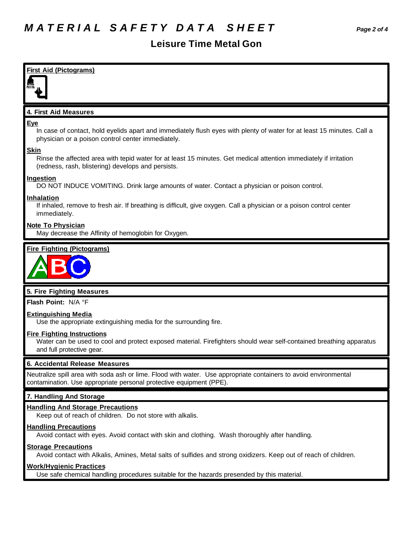### **Leisure Time Metal Gon**



Avoid contact with eyes. Avoid contact with skin and clothing. Wash thoroughly after handling.

#### **Storage Precautions**

Avoid contact with Alkalis, Amines, Metal salts of sulfides and strong oxidizers. Keep out of reach of children.

#### **Work/Hygienic Practices**

Use safe chemical handling procedures suitable for the hazards presended by this material.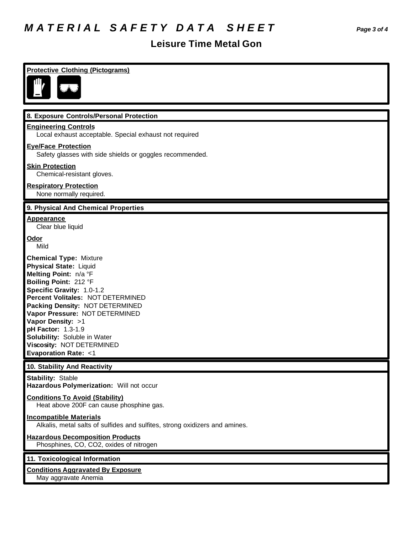# *M A T E R I A L S A F E T Y D A T A S H E E T Page 3 of 4*

# **Leisure Time Metal Gon**

| <b>Protective Clothing (Pictograms)</b>                                                                                                                                                                                                                                                                                                                                                    |
|--------------------------------------------------------------------------------------------------------------------------------------------------------------------------------------------------------------------------------------------------------------------------------------------------------------------------------------------------------------------------------------------|
| Ш,                                                                                                                                                                                                                                                                                                                                                                                         |
| 8. Exposure Controls/Personal Protection                                                                                                                                                                                                                                                                                                                                                   |
| <b>Engineering Controls</b><br>Local exhaust acceptable. Special exhaust not required                                                                                                                                                                                                                                                                                                      |
| <b>Eye/Face Protection</b><br>Safety glasses with side shields or goggles recommended.                                                                                                                                                                                                                                                                                                     |
| <b>Skin Protection</b><br>Chemical-resistant gloves.                                                                                                                                                                                                                                                                                                                                       |
| <b>Respiratory Protection</b><br>None normally required.                                                                                                                                                                                                                                                                                                                                   |
| 9. Physical And Chemical Properties                                                                                                                                                                                                                                                                                                                                                        |
| <u>Appearance</u><br>Clear blue liquid                                                                                                                                                                                                                                                                                                                                                     |
| <u>Odor</u><br>Mild                                                                                                                                                                                                                                                                                                                                                                        |
| <b>Chemical Type: Mixture</b><br>Physical State: Liquid<br>Melting Point: n/a °F<br>Boiling Point: 212 °F<br>Specific Gravity: 1.0-1.2<br>Percent Volitales: NOT DETERMINED<br>Packing Density: NOT DETERMINED<br>Vapor Pressure: NOT DETERMINED<br>Vapor Density: >1<br>pH Factor: 1.3-1.9<br>Solubility: Soluble in Water<br>Viscosity: NOT DETERMINED<br><b>Evaporation Rate: &lt;1</b> |
| 10. Stability And Reactivity                                                                                                                                                                                                                                                                                                                                                               |
| Stability: Stable<br>Hazardous Polymerization: Will not occur                                                                                                                                                                                                                                                                                                                              |
| <b>Conditions To Avoid (Stability)</b><br>Heat above 200F can cause phosphine gas.                                                                                                                                                                                                                                                                                                         |
| <b>Incompatible Materials</b><br>Alkalis, metal salts of sulfides and sulfites, strong oxidizers and amines.                                                                                                                                                                                                                                                                               |
| <b>Hazardous Decomposition Products</b><br>Phosphines, CO, CO2, oxides of nitrogen                                                                                                                                                                                                                                                                                                         |
| 11. Toxicological Information                                                                                                                                                                                                                                                                                                                                                              |
| <b>Conditions Aggravated By Exposure</b><br>May aggravate Anemia                                                                                                                                                                                                                                                                                                                           |